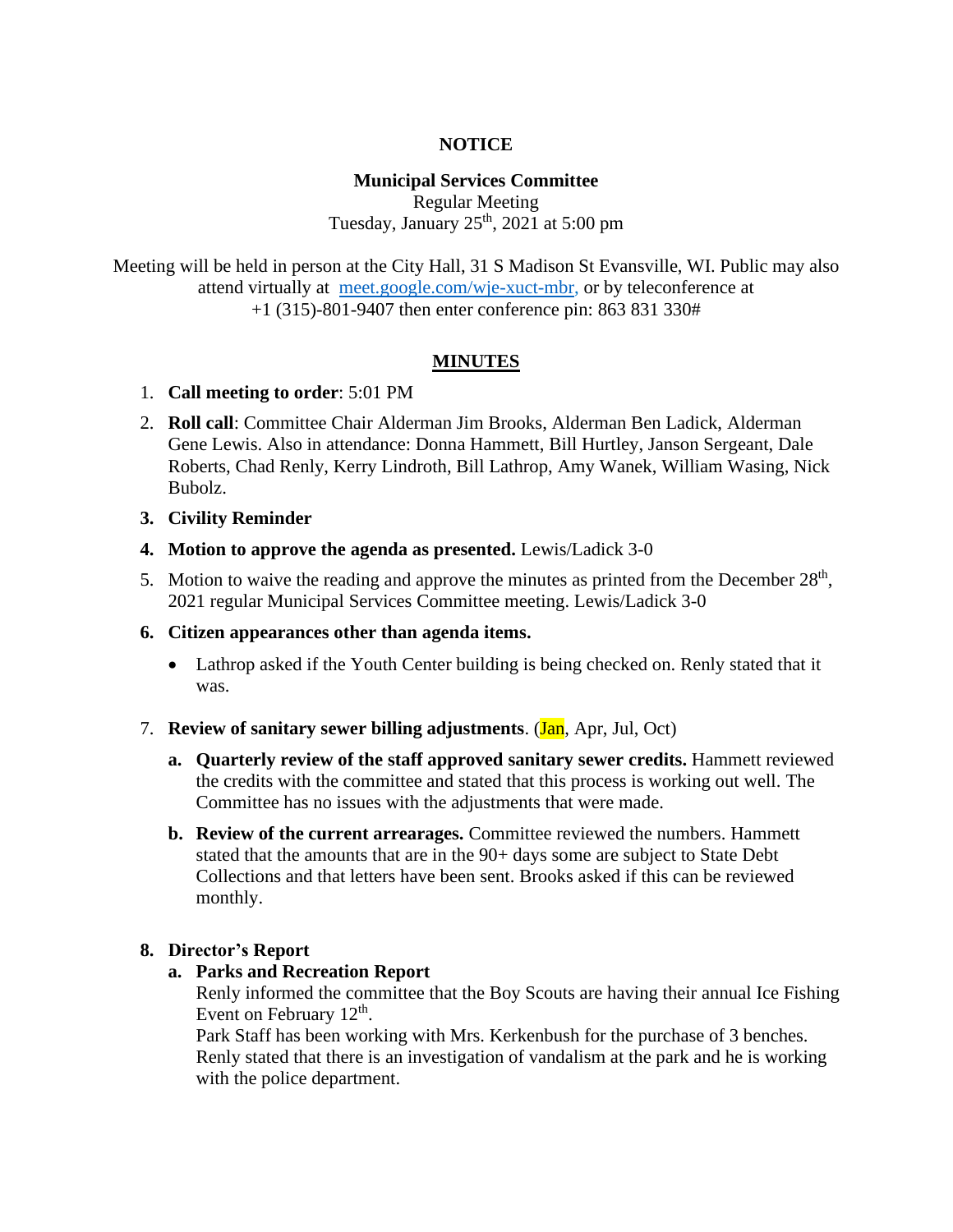#### **NOTICE**

### **Municipal Services Committee**

Regular Meeting Tuesday, January  $25<sup>th</sup>$ ,  $2021$  at  $5:00$  pm

Meeting will be held in person at the City Hall, 31 S Madison St Evansville, WI. Public may also attend virtually at [meet.google.com/wje-xuct-mbr,](file:///G:/My%20Drive/Meetings/MSC/2022/01-22/meet.google.com/wje-xuct-mbr) or by teleconference at +1 (315)-801-9407 then enter conference pin: 863 831 330#

#### **MINUTES**

#### 1. **Call meeting to order**: 5:01 PM

2. **Roll call**: Committee Chair Alderman Jim Brooks, Alderman Ben Ladick, Alderman Gene Lewis. Also in attendance: Donna Hammett, Bill Hurtley, Janson Sergeant, Dale Roberts, Chad Renly, Kerry Lindroth, Bill Lathrop, Amy Wanek, William Wasing, Nick Bubolz.

**3. Civility Reminder**

- **4. Motion to approve the agenda as presented.** Lewis/Ladick 3-0
- 5. Motion to waive the reading and approve the minutes as printed from the December  $28<sup>th</sup>$ , 2021 regular Municipal Services Committee meeting. Lewis/Ladick 3-0

#### **6. Citizen appearances other than agenda items.**

- Lathrop asked if the Youth Center building is being checked on. Renly stated that it was.
- 7. **Review of sanitary sewer billing adjustments**. (Jan, Apr, Jul, Oct)
	- **a. Quarterly review of the staff approved sanitary sewer credits.** Hammett reviewed the credits with the committee and stated that this process is working out well. The Committee has no issues with the adjustments that were made.
	- **b. Review of the current arrearages.** Committee reviewed the numbers. Hammett stated that the amounts that are in the 90+ days some are subject to State Debt Collections and that letters have been sent. Brooks asked if this can be reviewed monthly.

#### **8. Director's Report**

#### **a. Parks and Recreation Report**

Renly informed the committee that the Boy Scouts are having their annual Ice Fishing Event on February  $12<sup>th</sup>$ .

Park Staff has been working with Mrs. Kerkenbush for the purchase of 3 benches. Renly stated that there is an investigation of vandalism at the park and he is working with the police department.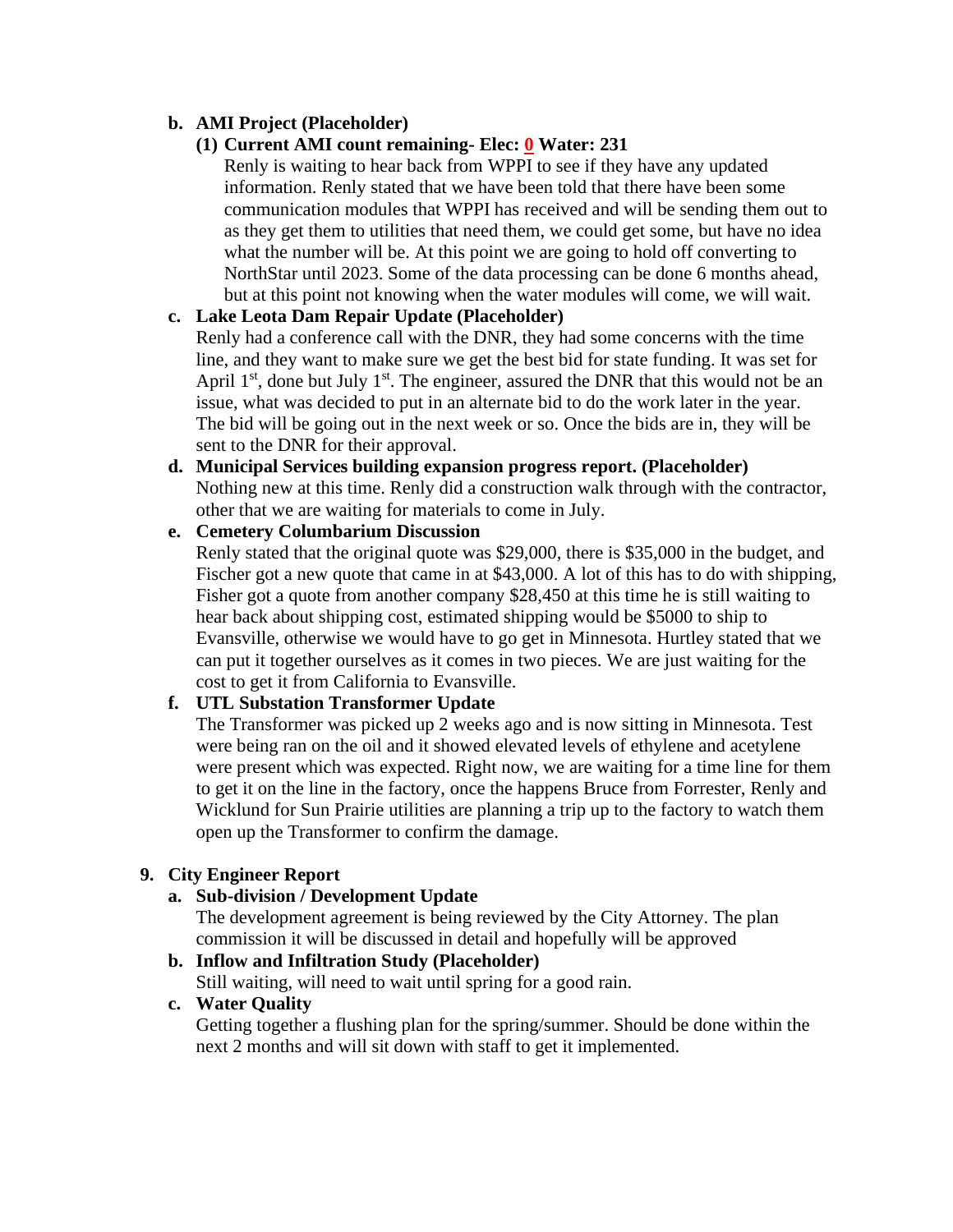## **b. AMI Project (Placeholder)**

### **(1) Current AMI count remaining- Elec: 0 Water: 231**

Renly is waiting to hear back from WPPI to see if they have any updated information. Renly stated that we have been told that there have been some communication modules that WPPI has received and will be sending them out to as they get them to utilities that need them, we could get some, but have no idea what the number will be. At this point we are going to hold off converting to NorthStar until 2023. Some of the data processing can be done 6 months ahead, but at this point not knowing when the water modules will come, we will wait.

### **c. Lake Leota Dam Repair Update (Placeholder)**

Renly had a conference call with the DNR, they had some concerns with the time line, and they want to make sure we get the best bid for state funding. It was set for April  $1<sup>st</sup>$ , done but July  $1<sup>st</sup>$ . The engineer, assured the DNR that this would not be an issue, what was decided to put in an alternate bid to do the work later in the year. The bid will be going out in the next week or so. Once the bids are in, they will be sent to the DNR for their approval.

### **d. Municipal Services building expansion progress report. (Placeholder)** Nothing new at this time. Renly did a construction walk through with the contractor, other that we are waiting for materials to come in July.

### **e. Cemetery Columbarium Discussion**

Renly stated that the original quote was \$29,000, there is \$35,000 in the budget, and Fischer got a new quote that came in at \$43,000. A lot of this has to do with shipping, Fisher got a quote from another company \$28,450 at this time he is still waiting to hear back about shipping cost, estimated shipping would be \$5000 to ship to Evansville, otherwise we would have to go get in Minnesota. Hurtley stated that we can put it together ourselves as it comes in two pieces. We are just waiting for the cost to get it from California to Evansville.

### **f. UTL Substation Transformer Update**

The Transformer was picked up 2 weeks ago and is now sitting in Minnesota. Test were being ran on the oil and it showed elevated levels of ethylene and acetylene were present which was expected. Right now, we are waiting for a time line for them to get it on the line in the factory, once the happens Bruce from Forrester, Renly and Wicklund for Sun Prairie utilities are planning a trip up to the factory to watch them open up the Transformer to confirm the damage.

### **9. City Engineer Report**

### **a. Sub-division / Development Update**

The development agreement is being reviewed by the City Attorney. The plan commission it will be discussed in detail and hopefully will be approved

#### **b. Inflow and Infiltration Study (Placeholder)**

Still waiting, will need to wait until spring for a good rain.

#### **c. Water Quality**

Getting together a flushing plan for the spring/summer. Should be done within the next 2 months and will sit down with staff to get it implemented.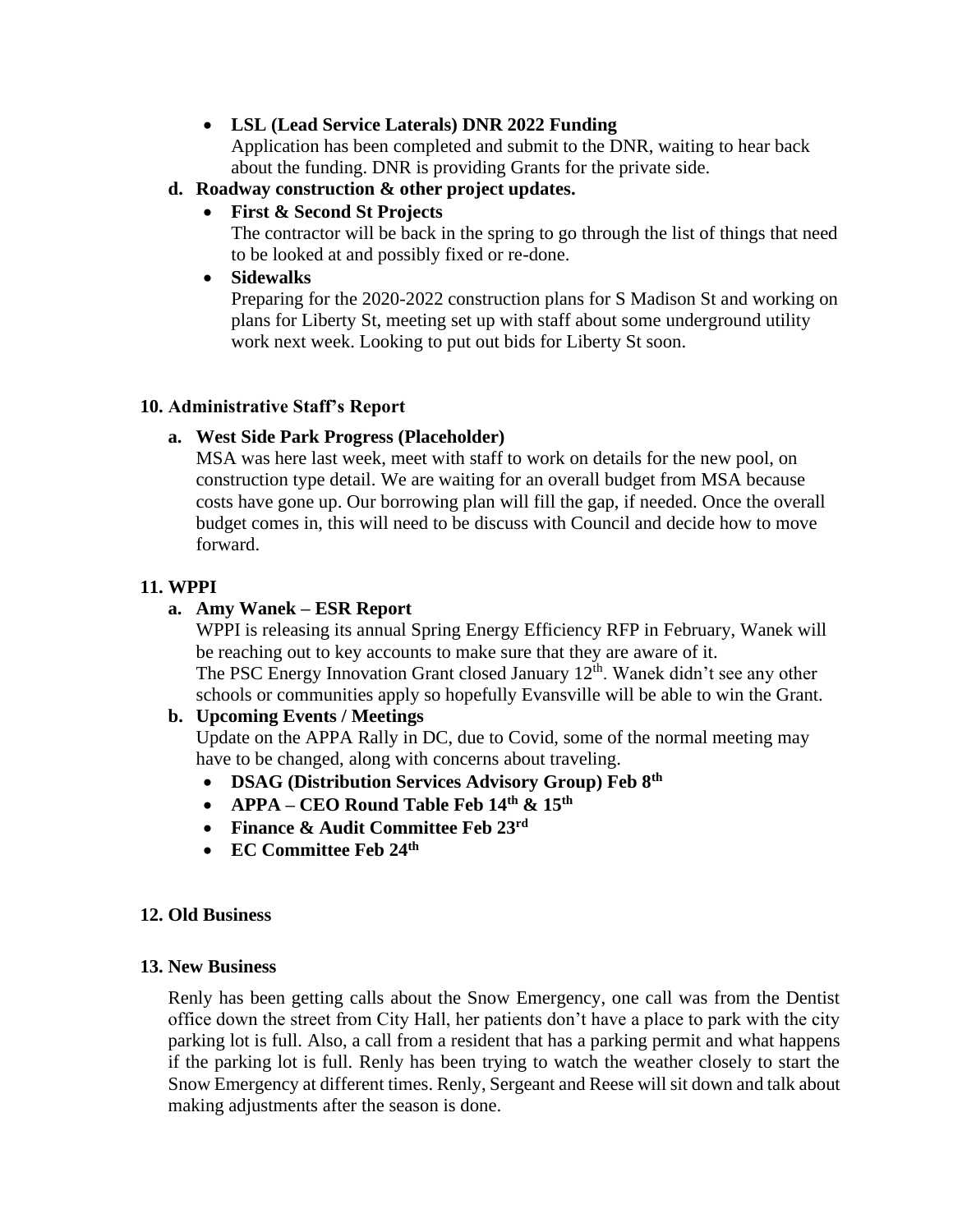### • **LSL (Lead Service Laterals) DNR 2022 Funding**

Application has been completed and submit to the DNR, waiting to hear back about the funding. DNR is providing Grants for the private side.

### **d. Roadway construction & other project updates.**

• **First & Second St Projects**

The contractor will be back in the spring to go through the list of things that need to be looked at and possibly fixed or re-done.

• **Sidewalks**

Preparing for the 2020-2022 construction plans for S Madison St and working on plans for Liberty St, meeting set up with staff about some underground utility work next week. Looking to put out bids for Liberty St soon.

### **10. Administrative Staff's Report**

## **a. West Side Park Progress (Placeholder)**

MSA was here last week, meet with staff to work on details for the new pool, on construction type detail. We are waiting for an overall budget from MSA because costs have gone up. Our borrowing plan will fill the gap, if needed. Once the overall budget comes in, this will need to be discuss with Council and decide how to move forward.

# **11. WPPI**

# **a. Amy Wanek – ESR Report**

WPPI is releasing its annual Spring Energy Efficiency RFP in February, Wanek will be reaching out to key accounts to make sure that they are aware of it. The PSC Energy Innovation Grant closed January  $12<sup>th</sup>$ . Wanek didn't see any other schools or communities apply so hopefully Evansville will be able to win the Grant.

# **b. Upcoming Events / Meetings**

Update on the APPA Rally in DC, due to Covid, some of the normal meeting may have to be changed, along with concerns about traveling.

- **DSAG (Distribution Services Advisory Group) Feb 8th**
- **APPA – CEO Round Table Feb 14th & 15th**
- **Finance & Audit Committee Feb 23rd**
- **EC Committee Feb 24th**

### **12. Old Business**

### **13. New Business**

Renly has been getting calls about the Snow Emergency, one call was from the Dentist office down the street from City Hall, her patients don't have a place to park with the city parking lot is full. Also, a call from a resident that has a parking permit and what happens if the parking lot is full. Renly has been trying to watch the weather closely to start the Snow Emergency at different times. Renly, Sergeant and Reese will sit down and talk about making adjustments after the season is done.